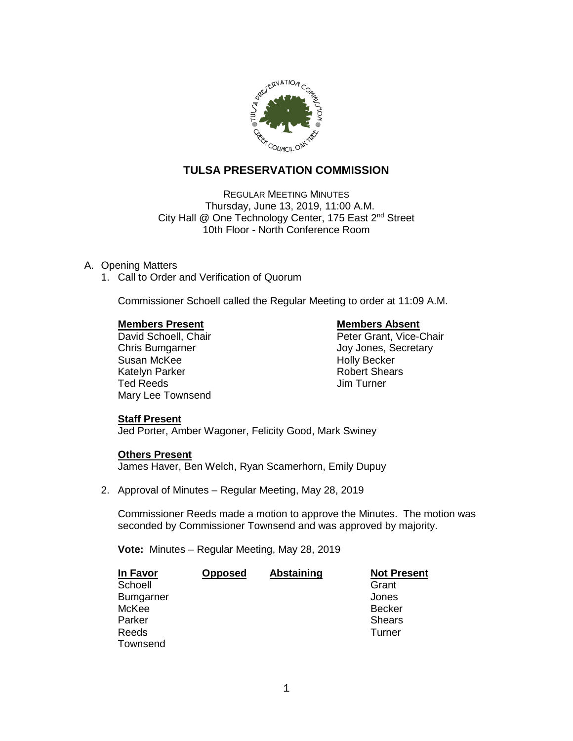

# **TULSA PRESERVATION COMMISSION**

REGULAR MEETING MINUTES Thursday, June 13, 2019, 11:00 A.M. City Hall @ One Technology Center, 175 East 2<sup>nd</sup> Street 10th Floor - North Conference Room

# A. Opening Matters

1. Call to Order and Verification of Quorum

Commissioner Schoell called the Regular Meeting to order at 11:09 A.M.

**Members Present Construction Construction Members Absent Construction Members Absent Construction Construction**<br> **Members Absent Construction Construction Construction Peter Grant, Vice-Construction Construction Construct** Susan McKee **Holly Becker** Holly Becker Katelyn Parker **Robert Shears** Robert Shears Ted Reeds Jim Turner Mary Lee Townsend

Peter Grant, Vice-Chair Chris Bumgarner Chris Bumgarner Chris Bumgarner Joy Jones, Secretary

### **Staff Present**

Jed Porter, Amber Wagoner, Felicity Good, Mark Swiney

### **Others Present**

James Haver, Ben Welch, Ryan Scamerhorn, Emily Dupuy

2. Approval of Minutes – Regular Meeting, May 28, 2019

Commissioner Reeds made a motion to approve the Minutes. The motion was seconded by Commissioner Townsend and was approved by majority.

**Vote:** Minutes – Regular Meeting, May 28, 2019

| In Favor         | <b>Opposed</b> | <b>Abstaining</b> | <b>Not Present</b> |
|------------------|----------------|-------------------|--------------------|
| Schoell          |                |                   | Grant              |
| <b>Bumgarner</b> |                |                   | Jones              |
| McKee            |                |                   | <b>Becker</b>      |
| Parker           |                |                   | <b>Shears</b>      |
| Reeds            |                |                   | Turner             |
| Townsend         |                |                   |                    |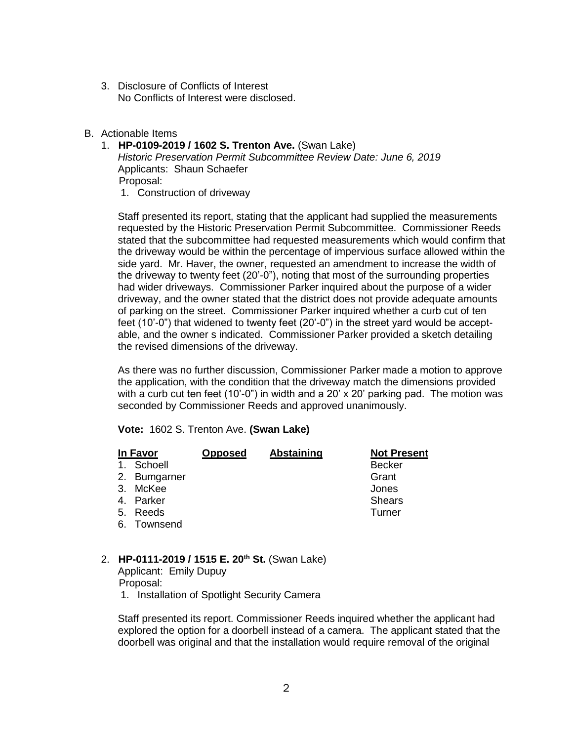- 3. Disclosure of Conflicts of Interest No Conflicts of Interest were disclosed.
- B. Actionable Items
	- 1. **HP-0109-2019 / 1602 S. Trenton Ave.** (Swan Lake) *Historic Preservation Permit Subcommittee Review Date: June 6, 2019* Applicants: Shaun Schaefer Proposal:
		- 1. Construction of driveway

Staff presented its report, stating that the applicant had supplied the measurements requested by the Historic Preservation Permit Subcommittee. Commissioner Reeds stated that the subcommittee had requested measurements which would confirm that the driveway would be within the percentage of impervious surface allowed within the side yard. Mr. Haver, the owner, requested an amendment to increase the width of the driveway to twenty feet (20'-0"), noting that most of the surrounding properties had wider driveways. Commissioner Parker inquired about the purpose of a wider driveway, and the owner stated that the district does not provide adequate amounts of parking on the street. Commissioner Parker inquired whether a curb cut of ten feet (10'-0") that widened to twenty feet (20'-0") in the street yard would be acceptable, and the owner s indicated. Commissioner Parker provided a sketch detailing the revised dimensions of the driveway.

As there was no further discussion, Commissioner Parker made a motion to approve the application, with the condition that the driveway match the dimensions provided with a curb cut ten feet (10'-0") in width and a 20' x 20' parking pad. The motion was seconded by Commissioner Reeds and approved unanimously.

**Vote:** 1602 S. Trenton Ave. **(Swan Lake)**

| In Favor     | <b>Opposed</b> | <b>Abstaining</b> | <b>Not Present</b> |
|--------------|----------------|-------------------|--------------------|
| 1. Schoell   |                |                   | <b>Becker</b>      |
| 2. Bumgarner |                |                   | Grant              |
| 3. McKee     |                |                   | Jones              |
| 4. Parker    |                |                   | <b>Shears</b>      |
| 5. Reeds     |                |                   | Turner             |
| 6. Townsend  |                |                   |                    |

2. **HP-0111-2019 / 1515 E. 20th St.** (Swan Lake)

Applicant: Emily Dupuy Proposal:

1. Installation of Spotlight Security Camera

Staff presented its report. Commissioner Reeds inquired whether the applicant had explored the option for a doorbell instead of a camera. The applicant stated that the doorbell was original and that the installation would require removal of the original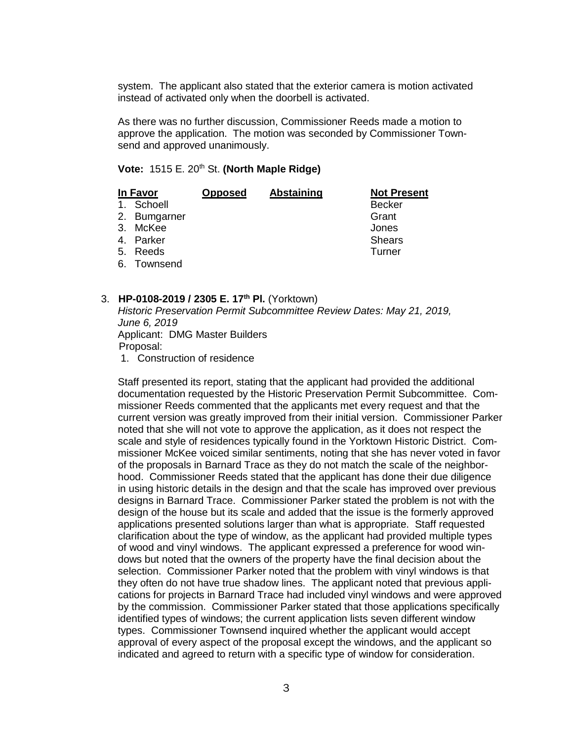system. The applicant also stated that the exterior camera is motion activated instead of activated only when the doorbell is activated.

As there was no further discussion, Commissioner Reeds made a motion to approve the application. The motion was seconded by Commissioner Townsend and approved unanimously.

### **Vote: 1515 E. 20<sup>th</sup> St. (North Maple Ridge)**

| In Favor     | <b>Opposed</b> | Abstaining | <b>Not Present</b> |
|--------------|----------------|------------|--------------------|
| 1. Schoell   |                |            | <b>Becker</b>      |
| 2. Bumgarner |                |            | Grant              |
| 3. McKee     |                |            | Jones              |
| 4. Parker    |                |            | <b>Shears</b>      |
| 5. Reeds     |                |            | Turner             |
| 6. Townsend  |                |            |                    |

## 3. **HP-0108-2019 / 2305 E. 17th Pl.** (Yorktown)

*Historic Preservation Permit Subcommittee Review Dates: May 21, 2019, June 6, 2019* Applicant: DMG Master Builders Proposal:

1. Construction of residence

Staff presented its report, stating that the applicant had provided the additional documentation requested by the Historic Preservation Permit Subcommittee. Commissioner Reeds commented that the applicants met every request and that the current version was greatly improved from their initial version. Commissioner Parker noted that she will not vote to approve the application, as it does not respect the scale and style of residences typically found in the Yorktown Historic District. Commissioner McKee voiced similar sentiments, noting that she has never voted in favor of the proposals in Barnard Trace as they do not match the scale of the neighborhood. Commissioner Reeds stated that the applicant has done their due diligence in using historic details in the design and that the scale has improved over previous designs in Barnard Trace. Commissioner Parker stated the problem is not with the design of the house but its scale and added that the issue is the formerly approved applications presented solutions larger than what is appropriate. Staff requested clarification about the type of window, as the applicant had provided multiple types of wood and vinyl windows. The applicant expressed a preference for wood windows but noted that the owners of the property have the final decision about the selection. Commissioner Parker noted that the problem with vinyl windows is that they often do not have true shadow lines. The applicant noted that previous applications for projects in Barnard Trace had included vinyl windows and were approved by the commission. Commissioner Parker stated that those applications specifically identified types of windows; the current application lists seven different window types. Commissioner Townsend inquired whether the applicant would accept approval of every aspect of the proposal except the windows, and the applicant so indicated and agreed to return with a specific type of window for consideration.